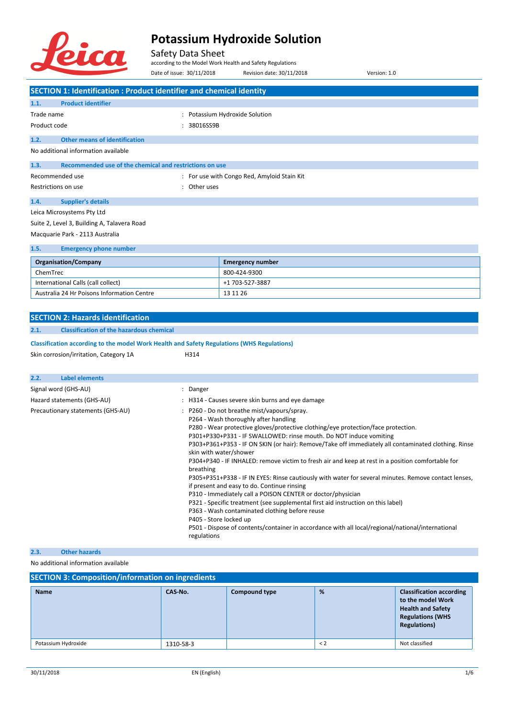

Safety Data Sheet

International Calls (call collect) +1 703-527-3887

according to the Model Work Health and Safety Regulations Date of issue: 30/11/2018 Revision date: 30/11/2018 Version: 1.0

**SECTION 1: Identification : Product identifier and chemical identity 1.1. Product identifier** Trade name  $\qquad \qquad : \qquad$  Potassium Hydroxide Solution Product code : 38016SS9B **1.2. Other means of identification** No additional information available **1.3. Recommended use of the chemical and restrictions on use** Recommended use **Network 2018** Channel 2019 : For use with Congo Red, Amyloid Stain Kit Restrictions on use the set of the set of the set of the set of the set of the set of the set of the set of the set of the set of the set of the set of the set of the set of the set of the set of the set of the set of the **1.4. Supplier's details** Leica Microsystems Pty Ltd Suite 2, Level 3, Building A, Talavera Road Macquarie Park - 2113 Australia **1.5. Emergency phone number Organisation/Company Emergency number Emergency number** ChemTrec 800-424-9300

| Australia 24 Hr Poisons Information Centre                                                 | 13 11 26                                                                                                                                                                                                                                                                                                                                                                                                                                                                                                                                                                                                                                                                                                                                                                                                                                                                                                                                                                                                     |
|--------------------------------------------------------------------------------------------|--------------------------------------------------------------------------------------------------------------------------------------------------------------------------------------------------------------------------------------------------------------------------------------------------------------------------------------------------------------------------------------------------------------------------------------------------------------------------------------------------------------------------------------------------------------------------------------------------------------------------------------------------------------------------------------------------------------------------------------------------------------------------------------------------------------------------------------------------------------------------------------------------------------------------------------------------------------------------------------------------------------|
|                                                                                            |                                                                                                                                                                                                                                                                                                                                                                                                                                                                                                                                                                                                                                                                                                                                                                                                                                                                                                                                                                                                              |
| <b>SECTION 2: Hazards identification</b>                                                   |                                                                                                                                                                                                                                                                                                                                                                                                                                                                                                                                                                                                                                                                                                                                                                                                                                                                                                                                                                                                              |
| 2.1.<br><b>Classification of the hazardous chemical</b>                                    |                                                                                                                                                                                                                                                                                                                                                                                                                                                                                                                                                                                                                                                                                                                                                                                                                                                                                                                                                                                                              |
| Classification according to the model Work Health and Safety Regulations (WHS Regulations) |                                                                                                                                                                                                                                                                                                                                                                                                                                                                                                                                                                                                                                                                                                                                                                                                                                                                                                                                                                                                              |
| Skin corrosion/irritation, Category 1A                                                     | H314                                                                                                                                                                                                                                                                                                                                                                                                                                                                                                                                                                                                                                                                                                                                                                                                                                                                                                                                                                                                         |
|                                                                                            |                                                                                                                                                                                                                                                                                                                                                                                                                                                                                                                                                                                                                                                                                                                                                                                                                                                                                                                                                                                                              |
| 2.2.<br><b>Label elements</b>                                                              |                                                                                                                                                                                                                                                                                                                                                                                                                                                                                                                                                                                                                                                                                                                                                                                                                                                                                                                                                                                                              |
| Signal word (GHS-AU)                                                                       | : Danger                                                                                                                                                                                                                                                                                                                                                                                                                                                                                                                                                                                                                                                                                                                                                                                                                                                                                                                                                                                                     |
| Hazard statements (GHS-AU)                                                                 | : H314 - Causes severe skin burns and eye damage                                                                                                                                                                                                                                                                                                                                                                                                                                                                                                                                                                                                                                                                                                                                                                                                                                                                                                                                                             |
| Precautionary statements (GHS-AU)                                                          | : P260 - Do not breathe mist/vapours/spray.<br>P264 - Wash thoroughly after handling<br>P280 - Wear protective gloves/protective clothing/eye protection/face protection.<br>P301+P330+P331 - IF SWALLOWED: rinse mouth. Do NOT induce vomiting<br>P303+P361+P353 - IF ON SKIN (or hair): Remove/Take off immediately all contaminated clothing. Rinse<br>skin with water/shower<br>P304+P340 - IF INHALED: remove victim to fresh air and keep at rest in a position comfortable for<br>breathing<br>P305+P351+P338 - IF IN EYES: Rinse cautiously with water for several minutes. Remove contact lenses,<br>if present and easy to do. Continue rinsing<br>P310 - Immediately call a POISON CENTER or doctor/physician<br>P321 - Specific treatment (see supplemental first aid instruction on this label)<br>P363 - Wash contaminated clothing before reuse<br>P405 - Store locked up<br>P501 - Dispose of contents/container in accordance with all local/regional/national/international<br>regulations |
| 2.3.<br><b>Other hazards</b>                                                               |                                                                                                                                                                                                                                                                                                                                                                                                                                                                                                                                                                                                                                                                                                                                                                                                                                                                                                                                                                                                              |

#### No additional information available

| <b>SECTION 3: Composition/information on ingredients</b> |           |                      |         |                                                                                                                                    |
|----------------------------------------------------------|-----------|----------------------|---------|------------------------------------------------------------------------------------------------------------------------------------|
| <b>Name</b>                                              | CAS No.   | <b>Compound type</b> | %       | <b>Classification according</b><br>to the model Work<br><b>Health and Safety</b><br><b>Regulations (WHS</b><br><b>Regulations)</b> |
| Potassium Hydroxide                                      | 1310-58-3 |                      | $\lt$ 2 | Not classified                                                                                                                     |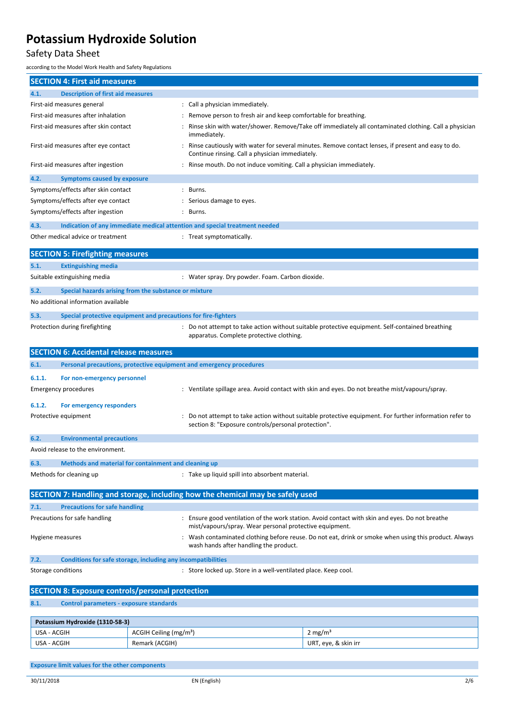### Safety Data Sheet

according to the Model Work Health and Safety Regulations

|                    | <b>SECTION 4: First aid measures</b>                           |                                    |                                                                                |                                                                                                       |
|--------------------|----------------------------------------------------------------|------------------------------------|--------------------------------------------------------------------------------|-------------------------------------------------------------------------------------------------------|
| 4.1.               | <b>Description of first aid measures</b>                       |                                    |                                                                                |                                                                                                       |
|                    | First-aid measures general                                     |                                    | : Call a physician immediately.                                                |                                                                                                       |
|                    | First-aid measures after inhalation                            |                                    | Remove person to fresh air and keep comfortable for breathing.                 |                                                                                                       |
|                    | First-aid measures after skin contact                          |                                    | immediately.                                                                   | Rinse skin with water/shower. Remove/Take off immediately all contaminated clothing. Call a physician |
|                    | First-aid measures after eye contact                           |                                    | Continue rinsing. Call a physician immediately.                                | Rinse cautiously with water for several minutes. Remove contact lenses, if present and easy to do.    |
|                    | First-aid measures after ingestion                             |                                    | : Rinse mouth. Do not induce vomiting. Call a physician immediately.           |                                                                                                       |
| 4.2.               | <b>Symptoms caused by exposure</b>                             |                                    |                                                                                |                                                                                                       |
|                    | Symptoms/effects after skin contact                            |                                    | : Burns.                                                                       |                                                                                                       |
|                    | Symptoms/effects after eye contact                             |                                    | : Serious damage to eyes.                                                      |                                                                                                       |
|                    | Symptoms/effects after ingestion                               |                                    | : Burns.                                                                       |                                                                                                       |
| 4.3.               |                                                                |                                    | Indication of any immediate medical attention and special treatment needed     |                                                                                                       |
|                    | Other medical advice or treatment                              |                                    | : Treat symptomatically.                                                       |                                                                                                       |
|                    | <b>SECTION 5: Firefighting measures</b>                        |                                    |                                                                                |                                                                                                       |
| 5.1.               | <b>Extinguishing media</b>                                     |                                    |                                                                                |                                                                                                       |
|                    | Suitable extinguishing media                                   |                                    | : Water spray. Dry powder. Foam. Carbon dioxide.                               |                                                                                                       |
| 5.2.               | Special hazards arising from the substance or mixture          |                                    |                                                                                |                                                                                                       |
|                    | No additional information available                            |                                    |                                                                                |                                                                                                       |
| 5.3.               | Special protective equipment and precautions for fire-fighters |                                    |                                                                                |                                                                                                       |
|                    | Protection during firefighting                                 |                                    | apparatus. Complete protective clothing.                                       | : Do not attempt to take action without suitable protective equipment. Self-contained breathing       |
|                    | <b>SECTION 6: Accidental release measures</b>                  |                                    |                                                                                |                                                                                                       |
| 6.1.               |                                                                |                                    | Personal precautions, protective equipment and emergency procedures            |                                                                                                       |
| 6.1.1.             |                                                                |                                    |                                                                                |                                                                                                       |
|                    | For non-emergency personnel<br>Emergency procedures            |                                    |                                                                                | : Ventilate spillage area. Avoid contact with skin and eyes. Do not breathe mist/vapours/spray.       |
|                    |                                                                |                                    |                                                                                |                                                                                                       |
| 6.1.2.             | For emergency responders                                       |                                    |                                                                                |                                                                                                       |
|                    | Protective equipment                                           |                                    | section 8: "Exposure controls/personal protection".                            | Do not attempt to take action without suitable protective equipment. For further information refer to |
| 6.2.               | <b>Environmental precautions</b>                               |                                    |                                                                                |                                                                                                       |
|                    | Avoid release to the environment.                              |                                    |                                                                                |                                                                                                       |
| 6.3.               | Methods and material for containment and cleaning up           |                                    |                                                                                |                                                                                                       |
|                    | Methods for cleaning up                                        |                                    | : Take up liquid spill into absorbent material.                                |                                                                                                       |
|                    |                                                                |                                    | SECTION 7: Handling and storage, including how the chemical may be safely used |                                                                                                       |
| 7.1.               | <b>Precautions for safe handling</b>                           |                                    |                                                                                |                                                                                                       |
|                    | Precautions for safe handling                                  |                                    | mist/vapours/spray. Wear personal protective equipment.                        | : Ensure good ventilation of the work station. Avoid contact with skin and eyes. Do not breathe       |
| Hygiene measures   |                                                                |                                    | wash hands after handling the product.                                         | : Wash contaminated clothing before reuse. Do not eat, drink or smoke when using this product. Always |
| 7.2.               | Conditions for safe storage, including any incompatibilities   |                                    |                                                                                |                                                                                                       |
| Storage conditions |                                                                |                                    | : Store locked up. Store in a well-ventilated place. Keep cool.                |                                                                                                       |
|                    |                                                                |                                    |                                                                                |                                                                                                       |
|                    | <b>SECTION 8: Exposure controls/personal protection</b>        |                                    |                                                                                |                                                                                                       |
| 8.1.               | <b>Control parameters - exposure standards</b>                 |                                    |                                                                                |                                                                                                       |
|                    | Potassium Hydroxide (1310-58-3)                                |                                    |                                                                                |                                                                                                       |
| USA - ACGIH        |                                                                | ACGIH Ceiling (mg/m <sup>3</sup> ) |                                                                                | 2 mg/m <sup>3</sup>                                                                                   |
| USA - ACGIH        |                                                                | Remark (ACGIH)                     |                                                                                | URT, eye, & skin irr                                                                                  |
|                    |                                                                |                                    |                                                                                |                                                                                                       |
|                    | <b>Exposure limit values for the other components</b>          |                                    |                                                                                |                                                                                                       |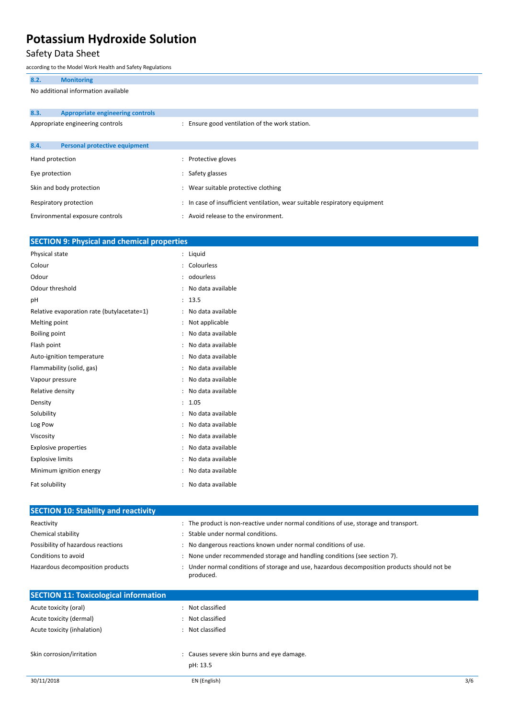### Safety Data Sheet

according to the Model Work Health and Safety Regulations

| 8.2.            | <b>Monitoring</b>                       |                                                                            |
|-----------------|-----------------------------------------|----------------------------------------------------------------------------|
|                 | No additional information available     |                                                                            |
|                 |                                         |                                                                            |
| 8.3.            | <b>Appropriate engineering controls</b> |                                                                            |
|                 | Appropriate engineering controls        | : Ensure good ventilation of the work station.                             |
|                 |                                         |                                                                            |
| 8.4.            | <b>Personal protective equipment</b>    |                                                                            |
| Hand protection |                                         | : Protective gloves                                                        |
| Eye protection  |                                         | : Safety glasses                                                           |
|                 | Skin and body protection                | : Wear suitable protective clothing                                        |
|                 | Respiratory protection                  | : In case of insufficient ventilation, wear suitable respiratory equipment |
|                 | Environmental exposure controls         | : Avoid release to the environment.                                        |

| <b>SECTION 9: Physical and chemical properties</b> |                      |                   |
|----------------------------------------------------|----------------------|-------------------|
| Physical state                                     |                      | Liquid            |
| Colour                                             |                      | Colourless        |
| Odour                                              |                      | odourless         |
| Odour threshold                                    |                      | No data available |
| pH                                                 | $\ddot{\cdot}$       | 13.5              |
| Relative evaporation rate (butylacetate=1)         |                      | No data available |
| Melting point                                      |                      | Not applicable    |
| <b>Boiling point</b>                               | $\ddot{\cdot}$       | No data available |
| Flash point                                        |                      | No data available |
| Auto-ignition temperature                          |                      | No data available |
| Flammability (solid, gas)                          | $\ddot{\phantom{a}}$ | No data available |
| Vapour pressure                                    |                      | No data available |
| Relative density                                   |                      | No data available |
| Density                                            | $\ddot{\cdot}$       | 1.05              |
| Solubility                                         |                      | No data available |
| Log Pow                                            |                      | No data available |
| Viscosity                                          |                      | No data available |
| <b>Explosive properties</b>                        |                      | No data available |
| <b>Explosive limits</b>                            |                      | No data available |
| Minimum ignition energy                            |                      | No data available |
| Fat solubility                                     |                      | No data available |

| <b>SECTION 10: Stability and reactivity</b>  |                                                                                                           |     |
|----------------------------------------------|-----------------------------------------------------------------------------------------------------------|-----|
| Reactivity                                   | : The product is non-reactive under normal conditions of use, storage and transport.                      |     |
| Chemical stability                           | : Stable under normal conditions.                                                                         |     |
| Possibility of hazardous reactions           | : No dangerous reactions known under normal conditions of use.                                            |     |
| Conditions to avoid                          | : None under recommended storage and handling conditions (see section 7).                                 |     |
| Hazardous decomposition products             | : Under normal conditions of storage and use, hazardous decomposition products should not be<br>produced. |     |
| <b>SECTION 11: Toxicological information</b> |                                                                                                           |     |
| Acute toxicity (oral)                        | : Not classified                                                                                          |     |
| Acute toxicity (dermal)                      | : Not classified                                                                                          |     |
| Acute toxicity (inhalation)                  | : Not classified                                                                                          |     |
| Skin corrosion/irritation                    | : Causes severe skin burns and eye damage.<br>pH: 13.5                                                    |     |
| 30/11/2018                                   | EN (English)                                                                                              | 3/6 |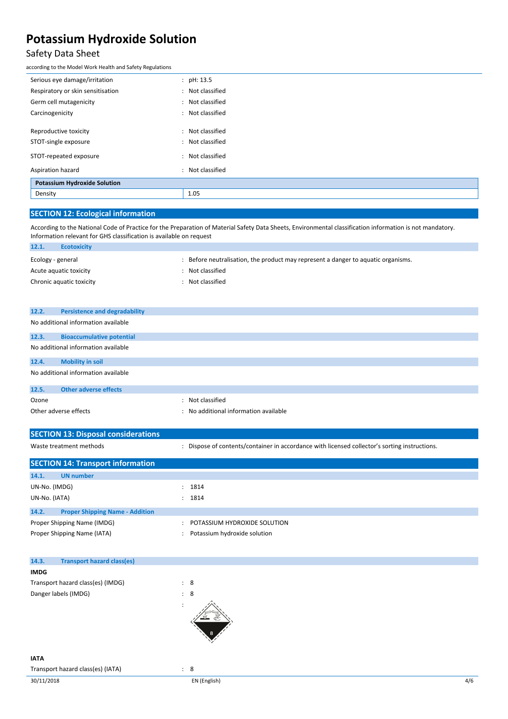### Safety Data Sheet

according to the Model Work Health and Safety Regulations

### **SECTION 12: Ecological information**

According to the National Code of Practice for the Preparation of Material Safety Data Sheets, Environmental classification information is not mandatory. Information relevant for GHS classification is available on request

| 12.1.             | <b>Ecotoxicity</b>       |                                                                                 |
|-------------------|--------------------------|---------------------------------------------------------------------------------|
| Ecology - general |                          | Before neutralisation, the product may represent a danger to aquatic organisms. |
|                   | Acute aquatic toxicity   | : Not classified                                                                |
|                   | Chronic aquatic toxicity | Not classified                                                                  |
|                   |                          |                                                                                 |
|                   |                          |                                                                                 |

| 12.2. | <b>Persistence and degradability</b> |
|-------|--------------------------------------|
|       | No additional information available  |
| 12.3. | <b>Bioaccumulative potential</b>     |
|       | No additional information available  |
| 12.4. | <b>Mobility in soil</b>              |
|       | No additional information available  |
| 42F   | Othan advance affaith                |

| 12.5.                 | Other adverse effects |                                     |
|-----------------------|-----------------------|-------------------------------------|
| Ozone                 |                       | Not classified                      |
| Other adverse effects |                       | No additional information available |

| <b>SECTION 13: Disposal considerations</b>      |                                                                                               |
|-------------------------------------------------|-----------------------------------------------------------------------------------------------|
| Waste treatment methods                         | : Dispose of contents/container in accordance with licensed collector's sorting instructions. |
| <b>SECTION 14: Transport information</b>        |                                                                                               |
| 14.1.<br><b>UN</b> number                       |                                                                                               |
| UN-No. (IMDG)                                   | : 1814                                                                                        |
| UN-No. (IATA)                                   | : 1814                                                                                        |
| 14.2.<br><b>Proper Shipping Name - Addition</b> |                                                                                               |
| Proper Shipping Name (IMDG)                     | POTASSIUM HYDROXIDE SOLUTION                                                                  |
| Proper Shipping Name (IATA)                     | Potassium hydroxide solution                                                                  |

| 14.3.       | <b>Transport hazard class(es)</b> |                |  |  |  |
|-------------|-----------------------------------|----------------|--|--|--|
| <b>IMDG</b> |                                   |                |  |  |  |
|             | Transport hazard class(es) (IMDG) | $\therefore$ 8 |  |  |  |
|             | Danger labels (IMDG)              | $\therefore$ 8 |  |  |  |
|             |                                   |                |  |  |  |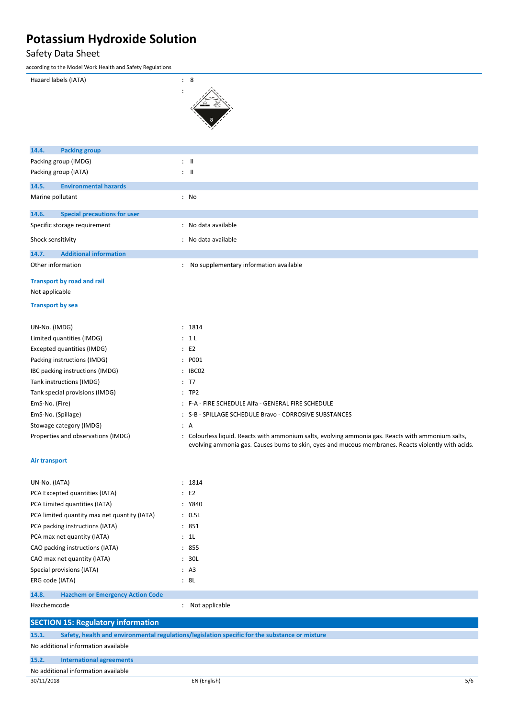### Safety Data Sheet

| ccording to the Model Work Health and Safety Regulations |                                                                                                                                                                                                           |
|----------------------------------------------------------|-----------------------------------------------------------------------------------------------------------------------------------------------------------------------------------------------------------|
| Hazard labels (IATA)                                     | : 8                                                                                                                                                                                                       |
| <b>Packing group</b><br>14.4.                            |                                                                                                                                                                                                           |
| Packing group (IMDG)                                     | $\therefore$ $\parallel$                                                                                                                                                                                  |
| Packing group (IATA)                                     | $\mathbf{L}$ $\mathbf{H}$                                                                                                                                                                                 |
| 14.5.<br><b>Environmental hazards</b>                    |                                                                                                                                                                                                           |
| Marine pollutant                                         | : No                                                                                                                                                                                                      |
| 14.6.<br><b>Special precautions for user</b>             |                                                                                                                                                                                                           |
| Specific storage requirement                             | : No data available                                                                                                                                                                                       |
| Shock sensitivity                                        | : No data available                                                                                                                                                                                       |
| 14.7.<br><b>Additional information</b>                   |                                                                                                                                                                                                           |
| Other information                                        | : No supplementary information available                                                                                                                                                                  |
| <b>Transport by road and rail</b>                        |                                                                                                                                                                                                           |
| Not applicable                                           |                                                                                                                                                                                                           |
| <b>Transport by sea</b>                                  |                                                                                                                                                                                                           |
| UN-No. (IMDG)                                            | : 1814                                                                                                                                                                                                    |
| Limited quantities (IMDG)                                | : 1L                                                                                                                                                                                                      |
| Excepted quantities (IMDG)                               | E2                                                                                                                                                                                                        |
| Packing instructions (IMDG)                              | : P001                                                                                                                                                                                                    |
| IBC packing instructions (IMDG)                          | : IBC02                                                                                                                                                                                                   |
| Tank instructions (IMDG)                                 | : T7                                                                                                                                                                                                      |
| Tank special provisions (IMDG)                           | :TP2                                                                                                                                                                                                      |
| EmS-No. (Fire)                                           | : F-A - FIRE SCHEDULE Alfa - GENERAL FIRE SCHEDULE                                                                                                                                                        |
| EmS-No. (Spillage)                                       | : S-B - SPILLAGE SCHEDULE Bravo - CORROSIVE SUBSTANCES                                                                                                                                                    |
| Stowage category (IMDG)                                  | : A                                                                                                                                                                                                       |
| Properties and observations (IMDG)                       | : Colourless liquid. Reacts with ammonium salts, evolving ammonia gas. Reacts with ammonium salts,<br>evolving ammonia gas. Causes burns to skin, eyes and mucous membranes. Reacts violently with acids. |
| Air transport                                            |                                                                                                                                                                                                           |
| UN-No. (IATA)                                            | : 1814                                                                                                                                                                                                    |
| PCA Excepted quantities (IATA)                           | $\therefore$ E2                                                                                                                                                                                           |
| PCA Limited quantities (IATA)                            | : Y840                                                                                                                                                                                                    |
| PCA limited quantity max net quantity (IATA)             | : 0.5L                                                                                                                                                                                                    |
| PCA packing instructions (IATA)                          | : 851                                                                                                                                                                                                     |
| PCA max net quantity (IATA)                              | : 1L                                                                                                                                                                                                      |
| CAO packing instructions (IATA)                          | : 855                                                                                                                                                                                                     |
| CAO max net quantity (IATA)                              | : 30L                                                                                                                                                                                                     |

**14.8. Hazchem or Emergency Action Code**

Special provisions (IATA)  $\qquad \qquad$  : A3 ERG code (IATA) : 8L

Hazchemcode **in the set of the set of the set of the set of the set of the set of the set of the set of the set of the set of the set of the set of the set of the set of the set of the set of the set of the set of the set** 

| <b>SECTION 15: Regulatory information</b> |                                                                                                |     |  |  |
|-------------------------------------------|------------------------------------------------------------------------------------------------|-----|--|--|
| 15.1.                                     | Safety, health and environmental regulations/legislation specific for the substance or mixture |     |  |  |
| No additional information available       |                                                                                                |     |  |  |
| 15.2.                                     | <b>International agreements</b>                                                                |     |  |  |
|                                           | No additional information available                                                            |     |  |  |
| 30/11/2018                                | EN (English)                                                                                   | 5/6 |  |  |